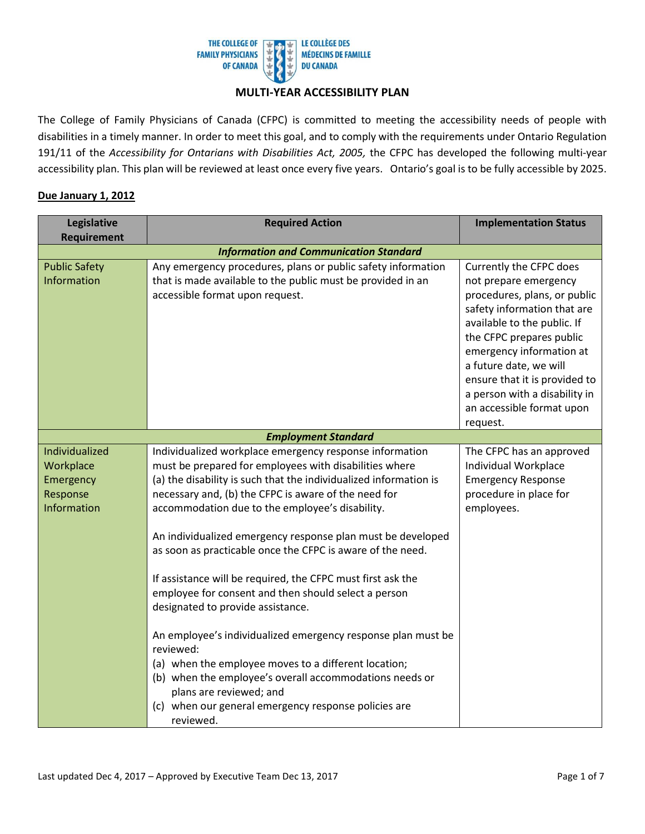

### **MULTI-YEAR ACCESSIBILITY PLAN**

 disabilities in a timely manner. In order to meet this goal, and to comply with the requirements under Ontario Regulation 191/11 of the *Accessibility for Ontarians with Disabilities Act, 2005,* the CFPC has developed the following multi-year accessibility plan. This plan will be reviewed at least once every five years. Ontario's goal is to be fully accessible by 2025. The College of Family Physicians of Canada (CFPC) is committed to meeting the accessibility needs of people with

| Legislative                                                         | <b>Required Action</b>                                                                                                                                                                                                                                                                                                                                                                                                                                                                                                                                                                                                                                                                                                                                                                                                                                                                     | <b>Implementation Status</b>                                                                                                                                                                                                                                                                                                                |
|---------------------------------------------------------------------|--------------------------------------------------------------------------------------------------------------------------------------------------------------------------------------------------------------------------------------------------------------------------------------------------------------------------------------------------------------------------------------------------------------------------------------------------------------------------------------------------------------------------------------------------------------------------------------------------------------------------------------------------------------------------------------------------------------------------------------------------------------------------------------------------------------------------------------------------------------------------------------------|---------------------------------------------------------------------------------------------------------------------------------------------------------------------------------------------------------------------------------------------------------------------------------------------------------------------------------------------|
| <b>Requirement</b>                                                  |                                                                                                                                                                                                                                                                                                                                                                                                                                                                                                                                                                                                                                                                                                                                                                                                                                                                                            |                                                                                                                                                                                                                                                                                                                                             |
|                                                                     | <b>Information and Communication Standard</b>                                                                                                                                                                                                                                                                                                                                                                                                                                                                                                                                                                                                                                                                                                                                                                                                                                              |                                                                                                                                                                                                                                                                                                                                             |
| <b>Public Safety</b><br>Information                                 | Any emergency procedures, plans or public safety information<br>that is made available to the public must be provided in an<br>accessible format upon request.                                                                                                                                                                                                                                                                                                                                                                                                                                                                                                                                                                                                                                                                                                                             | Currently the CFPC does<br>not prepare emergency<br>procedures, plans, or public<br>safety information that are<br>available to the public. If<br>the CFPC prepares public<br>emergency information at<br>a future date, we will<br>ensure that it is provided to<br>a person with a disability in<br>an accessible format upon<br>request. |
|                                                                     | <b>Employment Standard</b>                                                                                                                                                                                                                                                                                                                                                                                                                                                                                                                                                                                                                                                                                                                                                                                                                                                                 |                                                                                                                                                                                                                                                                                                                                             |
| Individualized<br>Workplace<br>Emergency<br>Response<br>Information | Individualized workplace emergency response information<br>must be prepared for employees with disabilities where<br>(a) the disability is such that the individualized information is<br>necessary and, (b) the CFPC is aware of the need for<br>accommodation due to the employee's disability.<br>An individualized emergency response plan must be developed<br>as soon as practicable once the CFPC is aware of the need.<br>If assistance will be required, the CFPC must first ask the<br>employee for consent and then should select a person<br>designated to provide assistance.<br>An employee's individualized emergency response plan must be<br>reviewed:<br>(a) when the employee moves to a different location;<br>(b) when the employee's overall accommodations needs or<br>plans are reviewed; and<br>(c) when our general emergency response policies are<br>reviewed. | The CFPC has an approved<br>Individual Workplace<br><b>Emergency Response</b><br>procedure in place for<br>employees.                                                                                                                                                                                                                       |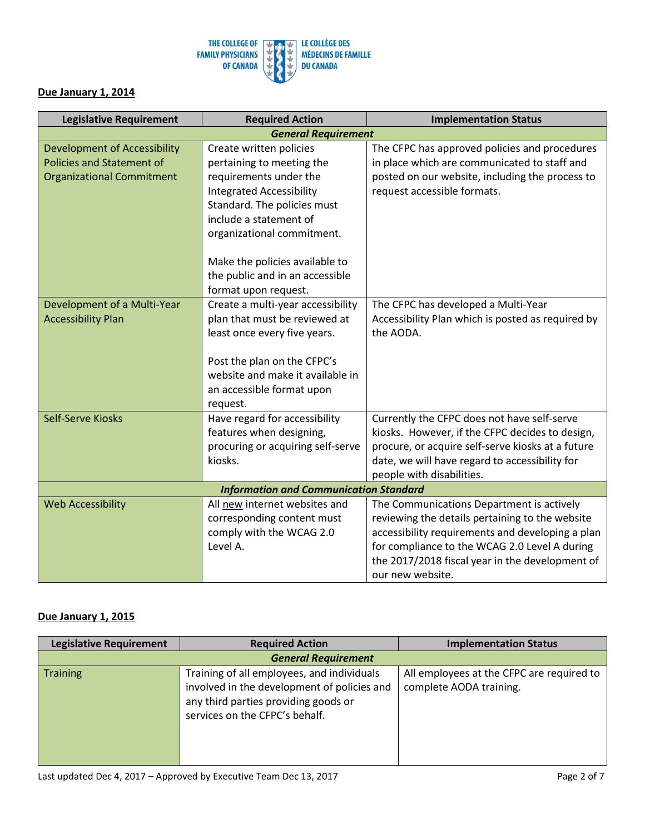

| <b>Legislative Requirement</b>      | <b>Required Action</b>                        | <b>Implementation Status</b>                      |
|-------------------------------------|-----------------------------------------------|---------------------------------------------------|
|                                     | <b>General Requirement</b>                    |                                                   |
| <b>Development of Accessibility</b> | Create written policies                       | The CFPC has approved policies and procedures     |
| <b>Policies and Statement of</b>    | pertaining to meeting the                     | in place which are communicated to staff and      |
| <b>Organizational Commitment</b>    | requirements under the                        | posted on our website, including the process to   |
|                                     | <b>Integrated Accessibility</b>               | request accessible formats.                       |
|                                     | Standard. The policies must                   |                                                   |
|                                     | include a statement of                        |                                                   |
|                                     | organizational commitment.                    |                                                   |
|                                     | Make the policies available to                |                                                   |
|                                     | the public and in an accessible               |                                                   |
|                                     | format upon request.                          |                                                   |
| Development of a Multi-Year         | Create a multi-year accessibility             | The CFPC has developed a Multi-Year               |
| <b>Accessibility Plan</b>           | plan that must be reviewed at                 | Accessibility Plan which is posted as required by |
|                                     | least once every five years.                  | the AODA.                                         |
|                                     |                                               |                                                   |
|                                     | Post the plan on the CFPC's                   |                                                   |
|                                     | website and make it available in              |                                                   |
|                                     | an accessible format upon                     |                                                   |
|                                     | request.                                      |                                                   |
| Self-Serve Kiosks                   | Have regard for accessibility                 | Currently the CFPC does not have self-serve       |
|                                     | features when designing,                      | kiosks. However, if the CFPC decides to design,   |
|                                     | procuring or acquiring self-serve             | procure, or acquire self-serve kiosks at a future |
|                                     | kiosks.                                       | date, we will have regard to accessibility for    |
|                                     |                                               | people with disabilities.                         |
|                                     | <b>Information and Communication Standard</b> |                                                   |
| <b>Web Accessibility</b>            | All new internet websites and                 | The Communications Department is actively         |
|                                     | corresponding content must                    | reviewing the details pertaining to the website   |
|                                     | comply with the WCAG 2.0                      | accessibility requirements and developing a plan  |
|                                     | Level A.                                      | for compliance to the WCAG 2.0 Level A during     |
|                                     |                                               | the 2017/2018 fiscal year in the development of   |
|                                     |                                               | our new website.                                  |

| <b>Legislative Requirement</b> | <b>Required Action</b>                                                                                                                                              | <b>Implementation Status</b>                                         |  |
|--------------------------------|---------------------------------------------------------------------------------------------------------------------------------------------------------------------|----------------------------------------------------------------------|--|
| <b>General Requirement</b>     |                                                                                                                                                                     |                                                                      |  |
| <b>Training</b>                | Training of all employees, and individuals<br>involved in the development of policies and<br>any third parties providing goods or<br>services on the CFPC's behalf. | All employees at the CFPC are required to<br>complete AODA training. |  |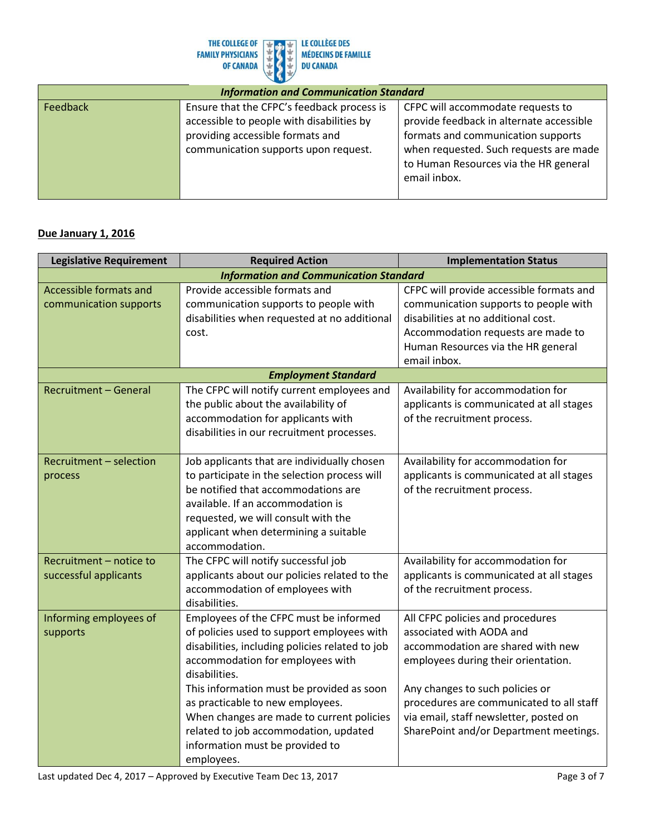

| <b>Information and Communication Standard</b> |                                                                                                                                                                     |                                                                                                                                                                                                                        |
|-----------------------------------------------|---------------------------------------------------------------------------------------------------------------------------------------------------------------------|------------------------------------------------------------------------------------------------------------------------------------------------------------------------------------------------------------------------|
| Feedback                                      | Ensure that the CFPC's feedback process is<br>accessible to people with disabilities by<br>providing accessible formats and<br>communication supports upon request. | CFPC will accommodate requests to<br>provide feedback in alternate accessible<br>formats and communication supports<br>when requested. Such requests are made<br>to Human Resources via the HR general<br>email inbox. |

| <b>Legislative Requirement</b> | <b>Required Action</b>                          | <b>Implementation Status</b>             |
|--------------------------------|-------------------------------------------------|------------------------------------------|
|                                | <b>Information and Communication Standard</b>   |                                          |
| Accessible formats and         | Provide accessible formats and                  | CFPC will provide accessible formats and |
| communication supports         | communication supports to people with           | communication supports to people with    |
|                                | disabilities when requested at no additional    | disabilities at no additional cost.      |
|                                | cost.                                           | Accommodation requests are made to       |
|                                |                                                 | Human Resources via the HR general       |
|                                |                                                 | email inbox.                             |
|                                | <b>Employment Standard</b>                      |                                          |
| <b>Recruitment - General</b>   | The CFPC will notify current employees and      | Availability for accommodation for       |
|                                | the public about the availability of            | applicants is communicated at all stages |
|                                | accommodation for applicants with               | of the recruitment process.              |
|                                | disabilities in our recruitment processes.      |                                          |
|                                |                                                 |                                          |
| Recruitment - selection        | Job applicants that are individually chosen     | Availability for accommodation for       |
| process                        | to participate in the selection process will    | applicants is communicated at all stages |
|                                | be notified that accommodations are             | of the recruitment process.              |
|                                | available. If an accommodation is               |                                          |
|                                | requested, we will consult with the             |                                          |
|                                | applicant when determining a suitable           |                                          |
|                                | accommodation.                                  |                                          |
| Recruitment - notice to        | The CFPC will notify successful job             | Availability for accommodation for       |
| successful applicants          | applicants about our policies related to the    | applicants is communicated at all stages |
|                                | accommodation of employees with                 | of the recruitment process.              |
|                                | disabilities.                                   |                                          |
| Informing employees of         | Employees of the CFPC must be informed          | All CFPC policies and procedures         |
| supports                       | of policies used to support employees with      | associated with AODA and                 |
|                                | disabilities, including policies related to job | accommodation are shared with new        |
|                                | accommodation for employees with                | employees during their orientation.      |
|                                | disabilities.                                   |                                          |
|                                | This information must be provided as soon       | Any changes to such policies or          |
|                                | as practicable to new employees.                | procedures are communicated to all staff |
|                                | When changes are made to current policies       | via email, staff newsletter, posted on   |
|                                | related to job accommodation, updated           | SharePoint and/or Department meetings.   |
|                                | information must be provided to                 |                                          |
|                                | employees.                                      |                                          |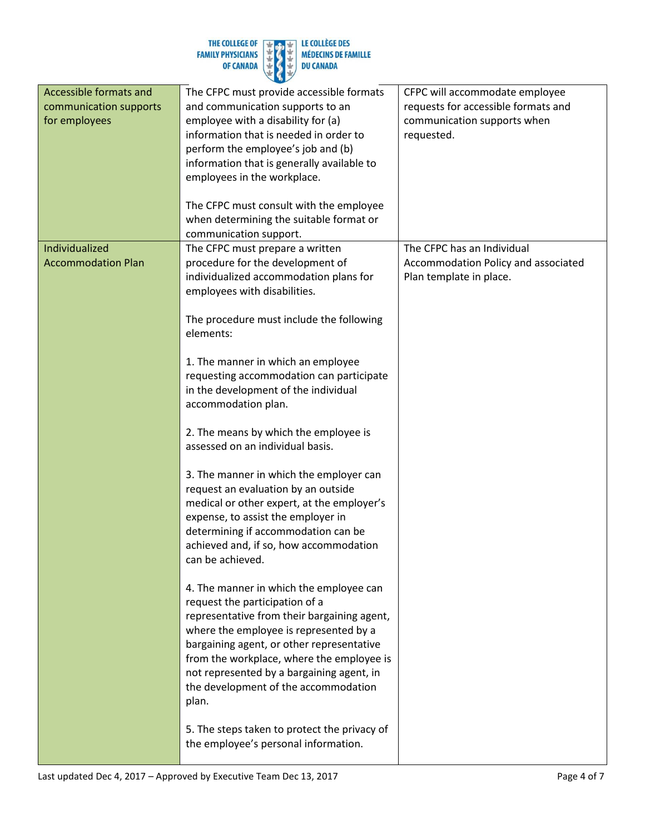| THE COLLEGE OF           |  |
|--------------------------|--|
| <b>FAMILY PHYSICIANS</b> |  |
| <b>OF CANADA</b>         |  |
|                          |  |



| Accessible formats and<br>communication supports<br>for employees | The CFPC must provide accessible formats<br>and communication supports to an<br>employee with a disability for (a)<br>information that is needed in order to<br>perform the employee's job and (b)                                                                                                                                                         | CFPC will accommodate employee<br>requests for accessible formats and<br>communication supports when<br>requested. |
|-------------------------------------------------------------------|------------------------------------------------------------------------------------------------------------------------------------------------------------------------------------------------------------------------------------------------------------------------------------------------------------------------------------------------------------|--------------------------------------------------------------------------------------------------------------------|
|                                                                   | information that is generally available to<br>employees in the workplace.                                                                                                                                                                                                                                                                                  |                                                                                                                    |
|                                                                   | The CFPC must consult with the employee<br>when determining the suitable format or<br>communication support.                                                                                                                                                                                                                                               |                                                                                                                    |
| Individualized<br><b>Accommodation Plan</b>                       | The CFPC must prepare a written<br>procedure for the development of<br>individualized accommodation plans for<br>employees with disabilities.                                                                                                                                                                                                              | The CFPC has an Individual<br>Accommodation Policy and associated<br>Plan template in place.                       |
|                                                                   | The procedure must include the following<br>elements:                                                                                                                                                                                                                                                                                                      |                                                                                                                    |
|                                                                   | 1. The manner in which an employee<br>requesting accommodation can participate<br>in the development of the individual<br>accommodation plan.                                                                                                                                                                                                              |                                                                                                                    |
|                                                                   | 2. The means by which the employee is<br>assessed on an individual basis.                                                                                                                                                                                                                                                                                  |                                                                                                                    |
|                                                                   | 3. The manner in which the employer can<br>request an evaluation by an outside<br>medical or other expert, at the employer's<br>expense, to assist the employer in<br>determining if accommodation can be<br>achieved and, if so, how accommodation<br>can be achieved.                                                                                    |                                                                                                                    |
|                                                                   | 4. The manner in which the employee can<br>request the participation of a<br>representative from their bargaining agent,<br>where the employee is represented by a<br>bargaining agent, or other representative<br>from the workplace, where the employee is<br>not represented by a bargaining agent, in<br>the development of the accommodation<br>plan. |                                                                                                                    |
|                                                                   | 5. The steps taken to protect the privacy of<br>the employee's personal information.                                                                                                                                                                                                                                                                       |                                                                                                                    |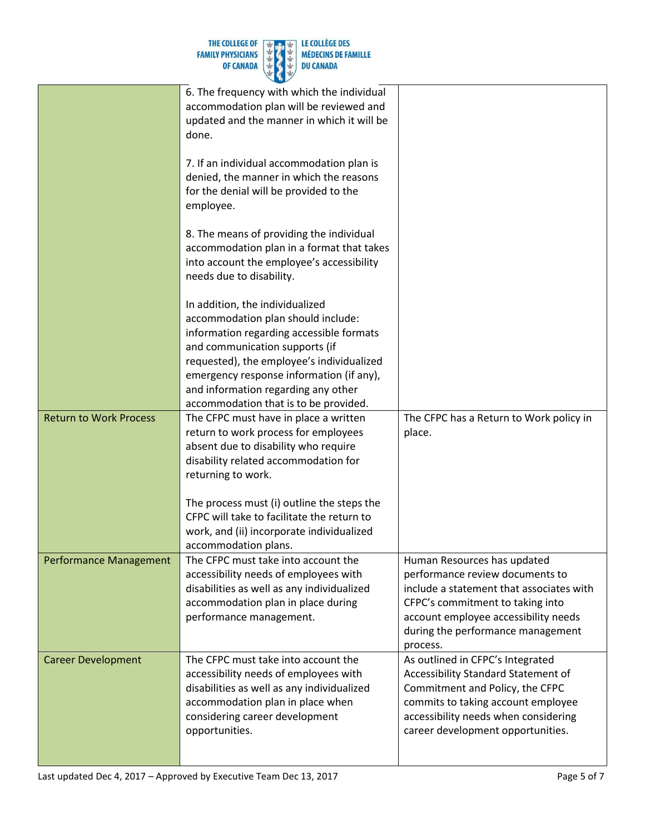|                         | THE COLLEGE OF $\begin{array}{ c c c c c }\n\hline\n\end{array}$ The COLLEGE OF $\begin{array}{ c c c }\n\hline\n\end{array}$ The COLLEGE DES<br>FAMILY PHYSICIANS $\begin{array}{ c c c }\n\hline\n\end{array}$ The COLLEGE DES |
|-------------------------|----------------------------------------------------------------------------------------------------------------------------------------------------------------------------------------------------------------------------------|
|                         |                                                                                                                                                                                                                                  |
| OF CANADA $\frac{1}{2}$ | <b>DU CANADA</b>                                                                                                                                                                                                                 |

|                               | 6. The frequency with which the individual<br>accommodation plan will be reviewed and<br>updated and the manner in which it will be<br>done.                                                                                                 |                                                                                                                                                                                                                                         |
|-------------------------------|----------------------------------------------------------------------------------------------------------------------------------------------------------------------------------------------------------------------------------------------|-----------------------------------------------------------------------------------------------------------------------------------------------------------------------------------------------------------------------------------------|
|                               | 7. If an individual accommodation plan is<br>denied, the manner in which the reasons<br>for the denial will be provided to the<br>employee.                                                                                                  |                                                                                                                                                                                                                                         |
|                               | 8. The means of providing the individual<br>accommodation plan in a format that takes<br>into account the employee's accessibility<br>needs due to disability.                                                                               |                                                                                                                                                                                                                                         |
|                               | In addition, the individualized<br>accommodation plan should include:<br>information regarding accessible formats<br>and communication supports (if<br>requested), the employee's individualized<br>emergency response information (if any), |                                                                                                                                                                                                                                         |
|                               | and information regarding any other<br>accommodation that is to be provided.                                                                                                                                                                 |                                                                                                                                                                                                                                         |
| <b>Return to Work Process</b> | The CFPC must have in place a written<br>return to work process for employees<br>absent due to disability who require<br>disability related accommodation for<br>returning to work.                                                          | The CFPC has a Return to Work policy in<br>place.                                                                                                                                                                                       |
|                               | The process must (i) outline the steps the<br>CFPC will take to facilitate the return to<br>work, and (ii) incorporate individualized<br>accommodation plans.                                                                                |                                                                                                                                                                                                                                         |
| <b>Performance Management</b> | The CFPC must take into account the<br>accessibility needs of employees with<br>disabilities as well as any individualized<br>accommodation plan in place during<br>performance management.                                                  | Human Resources has updated<br>performance review documents to<br>include a statement that associates with<br>CFPC's commitment to taking into<br>account employee accessibility needs<br>during the performance management<br>process. |
| <b>Career Development</b>     | The CFPC must take into account the<br>accessibility needs of employees with<br>disabilities as well as any individualized<br>accommodation plan in place when<br>considering career development<br>opportunities.                           | As outlined in CFPC's Integrated<br>Accessibility Standard Statement of<br>Commitment and Policy, the CFPC<br>commits to taking account employee<br>accessibility needs when considering<br>career development opportunities.           |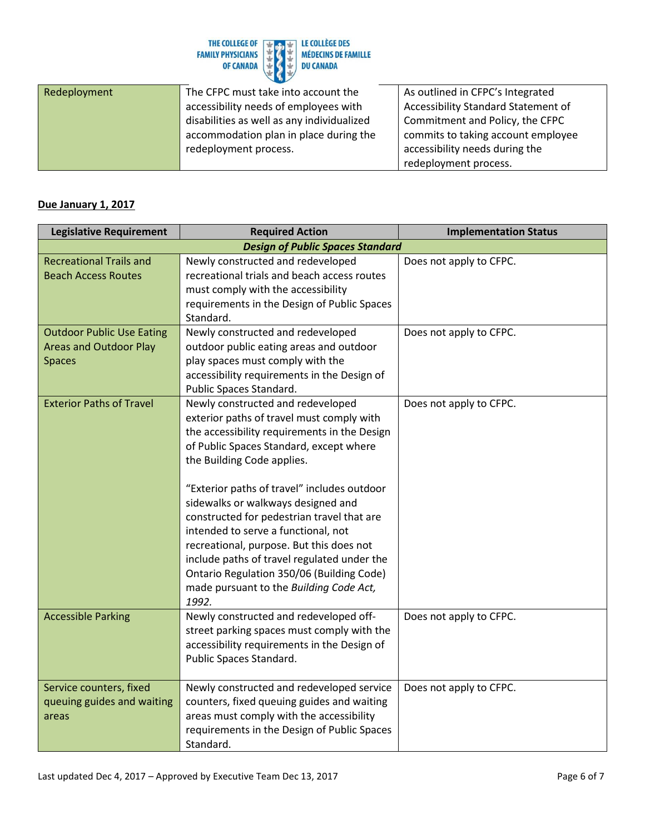

| Redeployment | The CFPC must take into account the        | As outlined in CFPC's Integrated    |
|--------------|--------------------------------------------|-------------------------------------|
|              | accessibility needs of employees with      | Accessibility Standard Statement of |
|              | disabilities as well as any individualized | Commitment and Policy, the CFPC     |
|              | accommodation plan in place during the     | commits to taking account employee  |
|              | redeployment process.                      | accessibility needs during the      |
|              |                                            | redeployment process.               |

| <b>Legislative Requirement</b>   | <b>Required Action</b>                                                                   | <b>Implementation Status</b> |
|----------------------------------|------------------------------------------------------------------------------------------|------------------------------|
|                                  | <b>Design of Public Spaces Standard</b>                                                  |                              |
| <b>Recreational Trails and</b>   | Newly constructed and redeveloped                                                        | Does not apply to CFPC.      |
| <b>Beach Access Routes</b>       | recreational trials and beach access routes                                              |                              |
|                                  | must comply with the accessibility                                                       |                              |
|                                  | requirements in the Design of Public Spaces                                              |                              |
|                                  | Standard.                                                                                |                              |
| <b>Outdoor Public Use Eating</b> | Newly constructed and redeveloped                                                        | Does not apply to CFPC.      |
| <b>Areas and Outdoor Play</b>    | outdoor public eating areas and outdoor                                                  |                              |
| <b>Spaces</b>                    | play spaces must comply with the                                                         |                              |
|                                  | accessibility requirements in the Design of                                              |                              |
|                                  | Public Spaces Standard.                                                                  |                              |
| <b>Exterior Paths of Travel</b>  | Newly constructed and redeveloped                                                        | Does not apply to CFPC.      |
|                                  | exterior paths of travel must comply with                                                |                              |
|                                  | the accessibility requirements in the Design                                             |                              |
|                                  | of Public Spaces Standard, except where                                                  |                              |
|                                  | the Building Code applies.                                                               |                              |
|                                  |                                                                                          |                              |
|                                  | "Exterior paths of travel" includes outdoor                                              |                              |
|                                  | sidewalks or walkways designed and                                                       |                              |
|                                  | constructed for pedestrian travel that are<br>intended to serve a functional, not        |                              |
|                                  |                                                                                          |                              |
|                                  | recreational, purpose. But this does not                                                 |                              |
|                                  | include paths of travel regulated under the<br>Ontario Regulation 350/06 (Building Code) |                              |
|                                  | made pursuant to the Building Code Act,                                                  |                              |
|                                  | 1992.                                                                                    |                              |
| <b>Accessible Parking</b>        | Newly constructed and redeveloped off-                                                   | Does not apply to CFPC.      |
|                                  | street parking spaces must comply with the                                               |                              |
|                                  | accessibility requirements in the Design of                                              |                              |
|                                  | Public Spaces Standard.                                                                  |                              |
|                                  |                                                                                          |                              |
| Service counters, fixed          | Newly constructed and redeveloped service                                                | Does not apply to CFPC.      |
| queuing guides and waiting       | counters, fixed queuing guides and waiting                                               |                              |
| areas                            | areas must comply with the accessibility                                                 |                              |
|                                  | requirements in the Design of Public Spaces                                              |                              |
|                                  | Standard.                                                                                |                              |